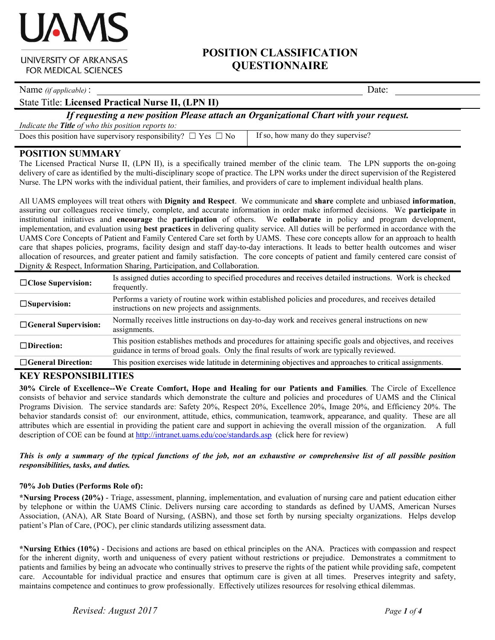## **POSITION CLASSIFICATION QUESTIONNAIRE**

Name *(if applicable)* : Date:

State Title: **Licensed Practical Nurse II, (LPN II)**

*If requesting a new position Please attach an Organizational Chart with your request.*

*Indicate the Title of who this position reports to:*

Does this position have supervisory responsibility?  $\Box$  Yes  $\Box$  No If so, how many do they supervise?

## **POSITION SUMMARY**

The Licensed Practical Nurse II, (LPN II), is a specifically trained member of the clinic team. The LPN supports the on-going delivery of care as identified by the multi-disciplinary scope of practice. The LPN works under the direct supervision of the Registered Nurse. The LPN works with the individual patient, their families, and providers of care to implement individual health plans.

All UAMS employees will treat others with **Dignity and Respect**. We communicate and **share** complete and unbiased **information**, assuring our colleagues receive timely, complete, and accurate information in order make informed decisions. We **participate** in institutional initiatives and **encourage** the **participation** of others. We **collaborate** in policy and program development, implementation, and evaluation using **best practices** in delivering quality service. All duties will be performed in accordance with the UAMS Core Concepts of Patient and Family Centered Care set forth by UAMS. These core concepts allow for an approach to health care that shapes policies, programs, facility design and staff day-to-day interactions. It leads to better health outcomes and wiser allocation of resources, and greater patient and family satisfaction. The core concepts of patient and family centered care consist of Dignity & Respect, Information Sharing, Participation, and Collaboration.

| $\Box$ Close Supervision:   | Is assigned duties according to specified procedures and receives detailed instructions. Work is checked<br>frequently.                                                                                |
|-----------------------------|--------------------------------------------------------------------------------------------------------------------------------------------------------------------------------------------------------|
| $\square$ Supervision:      | Performs a variety of routine work within established policies and procedures, and receives detailed<br>instructions on new projects and assignments.                                                  |
| $\Box$ General Supervision: | Normally receives little instructions on day-to-day work and receives general instructions on new<br>assignments.                                                                                      |
| $\Box$ Direction:           | This position establishes methods and procedures for attaining specific goals and objectives, and receives<br>guidance in terms of broad goals. Only the final results of work are typically reviewed. |
| $\Box$ General Direction:   | This position exercises wide latitude in determining objectives and approaches to critical assignments.                                                                                                |
|                             |                                                                                                                                                                                                        |

## **KEY RESPONSIBILITIES**

**30% Circle of Excellence--We Create Comfort, Hope and Healing for our Patients and Families**. The Circle of Excellence consists of behavior and service standards which demonstrate the culture and policies and procedures of UAMS and the Clinical Programs Division. The service standards are: Safety 20%, Respect 20%, Excellence 20%, Image 20%, and Efficiency 20%. The behavior standards consist of: our environment, attitude, ethics, communication, teamwork, appearance, and quality. These are all attributes which are essential in providing the patient care and support in achieving the overall mission of the organization. A full description of COE can be found at<http://intranet.uams.edu/coe/standards.asp> (click here for review)

#### *This is only a summary of the typical functions of the job, not an exhaustive or comprehensive list of all possible position responsibilities, tasks, and duties.*

#### **70% Job Duties (Performs Role of):**

**\*Nursing Process (20%)** - Triage, assessment, planning, implementation, and evaluation of nursing care and patient education either by telephone or within the UAMS Clinic. Delivers nursing care according to standards as defined by UAMS, American Nurses Association, (ANA), AR State Board of Nursing, (ASBN), and those set forth by nursing specialty organizations. Helps develop patient's Plan of Care, (POC), per clinic standards utilizing assessment data.

**\*Nursing Ethics (10%)** - Decisions and actions are based on ethical principles on the ANA. Practices with compassion and respect for the inherent dignity, worth and uniqueness of every patient without restrictions or prejudice. Demonstrates a commitment to patients and families by being an advocate who continually strives to preserve the rights of the patient while providing safe, competent care. Accountable for individual practice and ensures that optimum care is given at all times. Preserves integrity and safety, maintains competence and continues to grow professionally. Effectively utilizes resources for resolving ethical dilemmas.



**UNIVERSITY OF ARKANSAS** FOR MEDICAL SCIENCES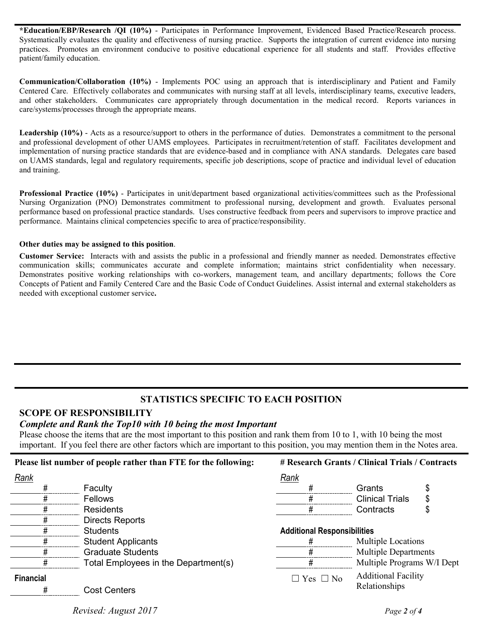**\*Education/EBP/Research /QI (10%)** - Participates in Performance Improvement, Evidenced Based Practice/Research process. Systematically evaluates the quality and effectiveness of nursing practice. Supports the integration of current evidence into nursing practices. Promotes an environment conducive to positive educational experience for all students and staff. Provides effective patient/family education.

**Communication/Collaboration (10%)** - Implements POC using an approach that is interdisciplinary and Patient and Family Centered Care. Effectively collaborates and communicates with nursing staff at all levels, interdisciplinary teams, executive leaders, and other stakeholders. Communicates care appropriately through documentation in the medical record. Reports variances in care/systems/processes through the appropriate means.

**Leadership (10%)** - Acts as a resource/support to others in the performance of duties. Demonstrates a commitment to the personal and professional development of other UAMS employees. Participates in recruitment/retention of staff. Facilitates development and implementation of nursing practice standards that are evidence-based and in compliance with ANA standards. Delegates care based on UAMS standards, legal and regulatory requirements, specific job descriptions, scope of practice and individual level of education and training.

**Professional Practice (10%)** - Participates in unit/department based organizational activities/committees such as the Professional Nursing Organization (PNO) Demonstrates commitment to professional nursing, development and growth. Evaluates personal performance based on professional practice standards. Uses constructive feedback from peers and supervisors to improve practice and performance. Maintains clinical competencies specific to area of practice/responsibility.

#### **Other duties may be assigned to this position**.

**Customer Service:** Interacts with and assists the public in a professional and friendly manner as needed. Demonstrates effective communication skills; communicates accurate and complete information; maintains strict confidentiality when necessary. Demonstrates positive working relationships with co-workers, management team, and ancillary departments; follows the Core Concepts of Patient and Family Centered Care and the Basic Code of Conduct Guidelines. Assist internal and external stakeholders as needed with exceptional customer service**.**

## **STATISTICS SPECIFIC TO EACH POSITION**

## **SCOPE OF RESPONSIBILITY**

#### *Complete and Rank the Top10 with 10 being the most Important*

Please choose the items that are the most important to this position and rank them from 10 to 1, with 10 being the most important. If you feel there are other factors which are important to this position, you may mention them in the Notes area.

| Please list number of people rather than FTE for the following: |                                      | # Research Grants / Clinical Trials / Contracts |                             |  |
|-----------------------------------------------------------------|--------------------------------------|-------------------------------------------------|-----------------------------|--|
| Rank                                                            |                                      | Rank                                            |                             |  |
|                                                                 | Faculty                              |                                                 | Grants                      |  |
|                                                                 | <b>Fellows</b>                       |                                                 | <b>Clinical Trials</b>      |  |
|                                                                 | <b>Residents</b>                     |                                                 | Contracts                   |  |
|                                                                 | Directs Reports                      |                                                 |                             |  |
|                                                                 | <b>Students</b>                      | <b>Additional Responsibilities</b>              |                             |  |
| #                                                               | <b>Student Applicants</b>            |                                                 | <b>Multiple Locations</b>   |  |
|                                                                 | <b>Graduate Students</b>             |                                                 | <b>Multiple Departments</b> |  |
|                                                                 | Total Employees in the Department(s) |                                                 | Multiple Programs W/I Dept  |  |
| <b>Financial</b>                                                |                                      | $\Box$ Yes $\Box$ No                            | <b>Additional Facility</b>  |  |
|                                                                 | <b>Cost Centers</b>                  |                                                 | Relationships               |  |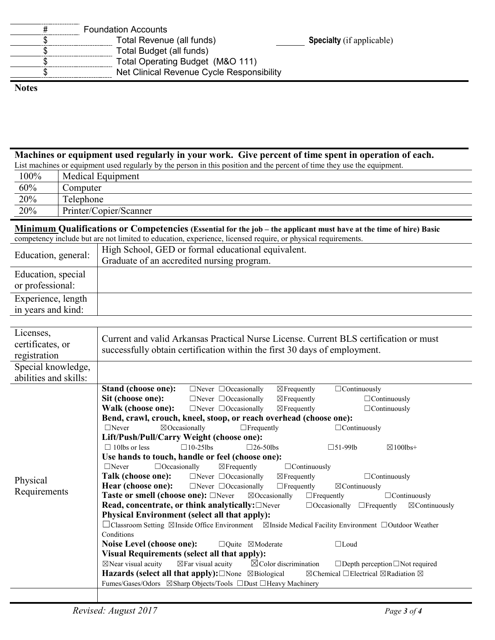| <b>Foundation Accounts</b>                |                                  |
|-------------------------------------------|----------------------------------|
| Total Revenue (all funds)                 | <b>Specialty</b> (if applicable) |
| Total Budget (all funds)                  |                                  |
| Total Operating Budget (M&O 111)          |                                  |
| Net Clinical Revenue Cycle Responsibility |                                  |

#### **Notes**

# **Machines or equipment used regularly in your work. Give percent of time spent in operation of each.**

| List machines or equipment used regularly by the person in this position and the percent of time they use the equipment. |                   |  |
|--------------------------------------------------------------------------------------------------------------------------|-------------------|--|
| $100\%$                                                                                                                  | Medical Equipment |  |
| $60\%$                                                                                                                   | `omnutar          |  |

| 60%<br>the control of the control of the | omputer                  |
|------------------------------------------|--------------------------|
| 20%                                      | $\mathbf{r}$<br>elephone |
| 20%                                      | Printer/Copier/Scanner   |

**Minimum Qualifications or Competencies (Essential for the job – the applicant must have at the time of hire) Basic** competency include but are not limited to education, experience, licensed require, or physical requirements.

| Education, general:                    | High School, GED or formal educational equivalent.<br>Graduate of an accredited nursing program. |
|----------------------------------------|--------------------------------------------------------------------------------------------------|
| Education, special<br>or professional: |                                                                                                  |
| Experience, length                     |                                                                                                  |
| in years and kind:                     |                                                                                                  |

| Licenses,<br>certificates, or<br>registration | Current and valid Arkansas Practical Nurse License. Current BLS certification or must<br>successfully obtain certification within the first 30 days of employment. |
|-----------------------------------------------|--------------------------------------------------------------------------------------------------------------------------------------------------------------------|
| Special knowledge,                            |                                                                                                                                                                    |
| abilities and skills:                         |                                                                                                                                                                    |
|                                               | Stand (choose one):<br>$\Box$ Never $\Box$ Occasionally<br>$\Box$ Continuously<br>$\boxtimes$ Frequently                                                           |
|                                               | Sit (choose one):<br>$\Box$ Never $\Box$ Occasionally<br>$\boxtimes$ Frequently<br>$\Box$ Continuously                                                             |
|                                               | Walk (choose one):<br>$\Box$ Never $\Box$ Occasionally<br>$\boxtimes$ Frequently<br>$\Box$ Continuously                                                            |
|                                               | Bend, crawl, crouch, kneel, stoop, or reach overhead (choose one):                                                                                                 |
|                                               | $\Box$ Never<br>$\boxtimes$ Occasionally<br>$\Box$ Frequently<br>$\Box$ Continuously                                                                               |
|                                               | Lift/Push/Pull/Carry Weight (choose one):                                                                                                                          |
|                                               | $\Box$ 10lbs or less<br>$\Box$ 10-251bs<br>$\square$ 26-50lbs<br>$\square$ 51-99lb<br>$\boxtimes$ 100lbs+                                                          |
|                                               | Use hands to touch, handle or feel (choose one):                                                                                                                   |
|                                               | $\Box$ Occasionally<br>$\Box$ Never<br>$\boxtimes$ Frequently<br>$\Box$ Continuously                                                                               |
| Physical                                      | Talk (choose one):<br>$\Box$ Never $\Box$ Occasionally<br>$\boxtimes$ Frequently<br>$\Box$ Continuously                                                            |
|                                               | <b>Hear (choose one):</b> $\Box$ Never $\Box$ Occasionally<br>$\Box$ Frequently<br>$\boxtimes$ Continuously                                                        |
| Requirements                                  | <b>Taste or smell (choose one):</b> □Never<br>$\boxtimes$ Occasionally<br>$\Box$ Continuously<br>$\Box$ Frequently                                                 |
|                                               | Read, concentrate, or think analytically: <b>Never</b><br>$\Box$ Occasionally $\Box$ Frequently<br>$\boxtimes$ Continuously                                        |
|                                               | <b>Physical Environment (select all that apply):</b>                                                                                                               |
|                                               |                                                                                                                                                                    |
|                                               | Conditions                                                                                                                                                         |
|                                               | Noise Level (choose one):<br>$\Box$ Ouite $\Box$ Moderate<br>$\Box$ Loud                                                                                           |
|                                               | <b>Visual Requirements (select all that apply):</b>                                                                                                                |
|                                               | $\boxtimes$ Near visual acuity<br>$\boxtimes$ Far visual acuity<br>$\boxtimes$ Color discrimination<br>$\Box$ Depth perception $\Box$ Not required                 |
|                                               | Hazards (select all that apply): $\square$ None $\square$ Biological<br>$\boxtimes$ Chemical $\Box$ Electrical $\boxtimes$ Radiation $\boxtimes$                   |
|                                               | Fumes/Gases/Odors ⊠Sharp Objects/Tools □Dust □Heavy Machinery                                                                                                      |
|                                               |                                                                                                                                                                    |